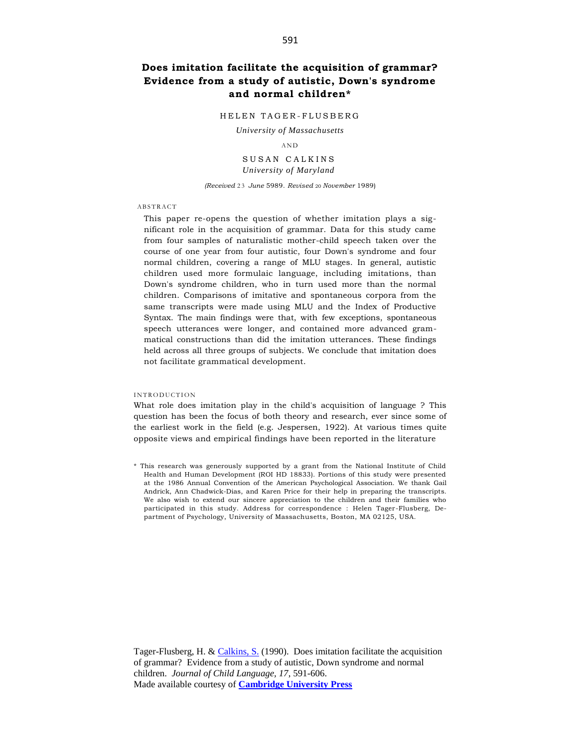# **Does imitation facilitate the acquisition of grammar? Evidence from a study of autistic, Down's syndrome and normal children\***

HELEN TAGER-FLUSBERG

*University of Massachusetts*

A N D

SUSAN CALKINS *University of Maryland*

### *(Received* 2 3 *June* 5989. *Revised* 20 *November* 1989)

## A B S T R A C T

This paper re-opens the question of whether imitation plays a significant role in the acquisition of grammar. Data for this study came from four samples of naturalistic mother-child speech taken over the course of one year from four autistic, four Down's syndrome and four normal children, covering a range of MLU stages. In general, autistic children used more formulaic language, including imitations, than Down's syndrome children, who in turn used more than the normal children. Comparisons of imitative and spontaneous corpora from the same transcripts were made using MLU and the Index of Productive Syntax. The main findings were that, with few exceptions, spontaneous speech utterances were longer, and contained more advanced grammatical constructions than did the imitation utterances. These findings held across all three groups of subjects. We conclude that imitation does not facilitate grammatical development.

#### INTRODUCTION

What role does imitation play in the child's acquisition of language ? This question has been the focus of both theory and research, ever since some of the earliest work in the field (e.g. Jespersen, 1922). At various times quite opposite views and empirical findings have been reported in the literature

<sup>\*</sup> This research was generously supported by a grant from the National Institute of Child Health and Human Development (ROI HD 18833). Portions of this study were presented at the 1986 Annual Convention of the American Psychological Association. We thank Gail Andrick, Ann Chadwick-Dias, and Karen Price for their help in preparing the transcripts. We also wish to extend our sincere appreciation to the children and their families who participated in this study. Address for correspondence : Helen Tager-Flusberg, Department of Psychology, University of Massachusetts, Boston, MA 02125, USA.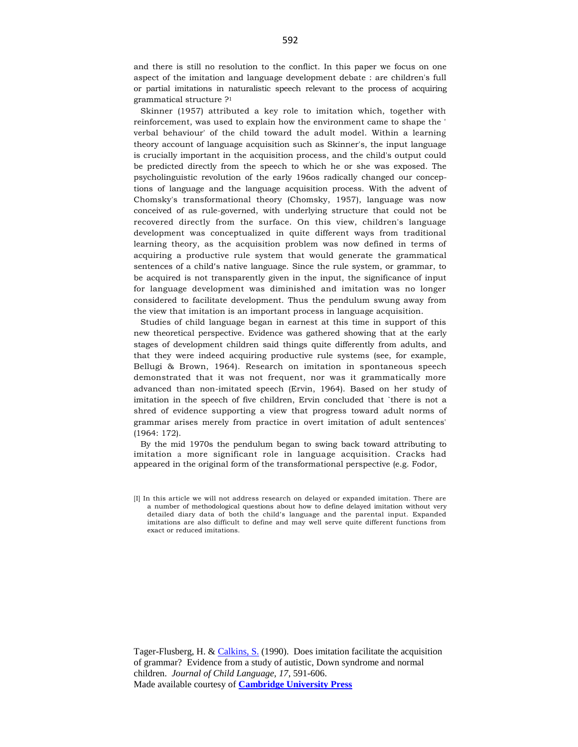and there is still no resolution to the conflict. In this paper we focus on one aspect of the imitation and language development debate : are children's full or partial imitations in naturalistic speech relevant to the process of acquiring grammatical structure ?<sup>1</sup>

Skinner (1957) attributed a key role to imitation which, together with reinforcement, was used to explain how the environment came to shape the ' verbal behaviour' of the child toward the adult model. Within a learning theory account of language acquisition such as Skinner's, the input language is crucially important in the acquisition process, and the child's output could be predicted directly from the speech to which he or she was exposed. The psycholinguistic revolution of the early 196os radically changed our conceptions of language and the language acquisition process. With the advent of Chomsky's transformational theory (Chomsky, 1957), language was now conceived of as rule-governed, with underlying structure that could not be recovered directly from the surface. On this view, children's language development was conceptualized in quite different ways from traditional learning theory, as the acquisition problem was now defined in terms of acquiring a productive rule system that would generate the grammatical sentences of a child's native language. Since the rule system, or grammar, to be acquired is not transparently given in the input, the significance of input for language development was diminished and imitation was no longer considered to facilitate development. Thus the pendulum swung away from the view that imitation is an important process in language acquisition.

Studies of child language began in earnest at this time in support of this new theoretical perspective. Evidence was gathered showing that at the early stages of development children said things quite differently from adults, and that they were indeed acquiring productive rule systems (see, for example, Bellugi & Brown, 1964). Research on imitation in spontaneous speech demonstrated that it was not frequent, nor was it grammatically more advanced than non-imitated speech (Ervin, 1964). Based on her study of imitation in the speech of five children, Ervin concluded that `there is not a shred of evidence supporting a view that progress toward adult norms of grammar arises merely from practice in overt imitation of adult sentences' (1964: 172).

By the mid 1970s the pendulum began to swing back toward attributing to imitation a more significant role in language acquisition. Cracks had appeared in the original form of the transformational perspective (e.g. Fodor,

<sup>[</sup>I] In this article we will not address research on delayed or expanded imitation. There are a number of methodological questions about how to define delayed imitation without very detailed diary data of both the child's language and the parental input. Expanded imitations are also difficult to define and may well serve quite different functions from exact or reduced imitations.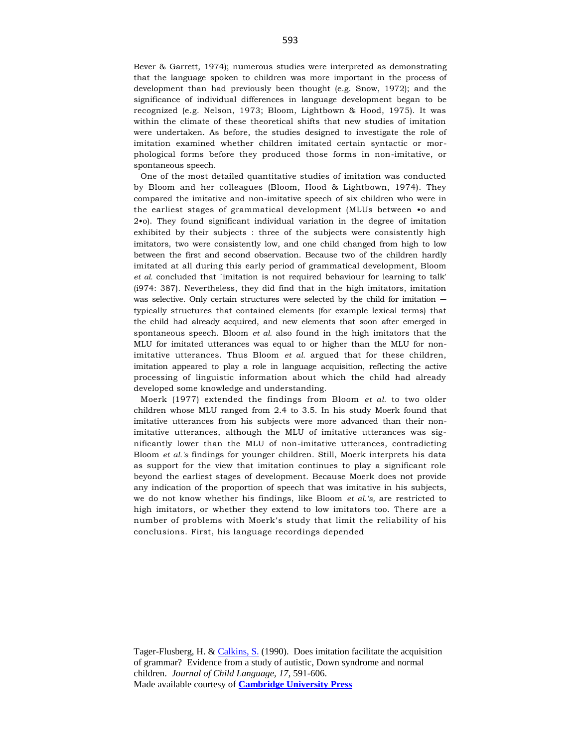Bever & Garrett, 1974); numerous studies were interpreted as demonstrating that the language spoken to children was more important in the process of development than had previously been thought (e.g. Snow, 1972); and the significance of individual differences in language development began to be recognized (e.g. Nelson, 1973; Bloom, Lightbown & Hood, 1975). It was within the climate of these theoretical shifts that new studies of imitation were undertaken. As before, the studies designed to investigate the role of imitation examined whether children imitated certain syntactic or morphological forms before they produced those forms in non-imitative, or spontaneous speech.

One of the most detailed quantitative studies of imitation was conducted by Bloom and her colleagues (Bloom, Hood & Lightbown, 1974). They compared the imitative and non-imitative speech of six children who were in the earliest stages of grammatical development (MLUs between •o and 2•o). They found significant individual variation in the degree of imitation exhibited by their subjects : three of the subjects were consistently high imitators, two were consistently low, and one child changed from high to low between the first and second observation. Because two of the children hardly imitated at all during this early period of grammatical development, Bloom *et al.* concluded that `imitation is not required behaviour for learning to talk' (i974: 387). Nevertheless, they did find that in the high imitators, imitation was selective. Only certain structures were selected by the child for imitation typically structures that contained elements (for example lexical terms) that the child had already acquired, and new elements that soon after emerged in spontaneous speech. Bloom *et al.* also found in the high imitators that the MLU for imitated utterances was equal to or higher than the MLU for nonimitative utterances. Thus Bloom *et al.* argued that for these children, imitation appeared to play a role in language acquisition, reflecting the active processing of linguistic information about which the child had already developed some knowledge and understanding.

Moerk (1977) extended the findings from Bloom *et al.* to two older children whose MLU ranged from 2.4 to 3.5. In his study Moerk found that imitative utterances from his subjects were more advanced than their nonimitative utterances, although the MLU of imitative utterances was significantly lower than the MLU of non-imitative utterances, contradicting Bloom *et al.'s* findings for younger children. Still, Moerk interprets his data as support for the view that imitation continues to play a significant role beyond the earliest stages of development. Because Moerk does not provide any indication of the proportion of speech that was imitative in his subjects, we do not know whether his findings, like Bloom *et al.'s,* are restricted to high imitators, or whether they extend to low imitators too. There are a number of problems with Moerk's study that limit the reliability of his conclusions. First, his language recordings depended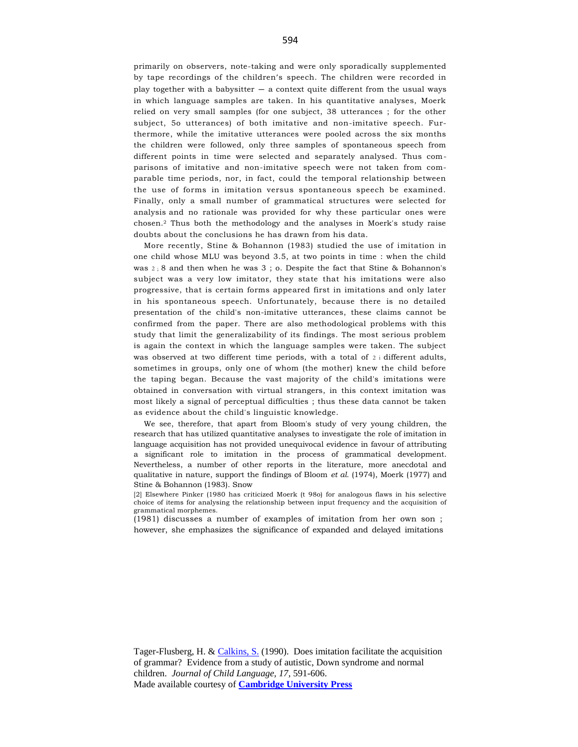primarily on observers, note-taking and were only sporadically supplemented by tape recordings of the children's speech. The children were recorded in play together with a babysitter  $-$  a context quite different from the usual ways in which language samples are taken. In his quantitative analyses, Moerk relied on very small samples (for one subject, 38 utterances ; for the other subject, 5o utterances) of both imitative and non-imitative speech. Furthermore, while the imitative utterances were pooled across the six months the children were followed, only three samples of spontaneous speech from different points in time were selected and separately analysed. Thus comparisons of imitative and non-imitative speech were not taken from comparable time periods, nor, in fact, could the temporal relationship between the use of forms in imitation versus spontaneous speech be examined. Finally, only a small number of grammatical structures were selected for analysis and no rationale was provided for why these particular ones were chosen.<sup>2</sup> Thus both the methodology and the analyses in Moerk's study raise doubts about the conclusions he has drawn from his data.

More recently, Stine & Bohannon (1983) studied the use of imitation in one child whose MLU was beyond 3.5, at two points in time : when the child was 2 ; 8 and then when he was 3 ; o. Despite the fact that Stine & Bohannon's subject was a very low imitator, they state that his imitations were also progressive, that is certain forms appeared first in imitations and only later in his spontaneous speech. Unfortunately, because there is no detailed presentation of the child's non-imitative utterances, these claims cannot be confirmed from the paper. There are also methodological problems with this study that limit the generalizability of its findings. The most serious problem is again the context in which the language samples were taken. The subject was observed at two different time periods, with a total of 2 i different adults, sometimes in groups, only one of whom (the mother) knew the child before the taping began. Because the vast majority of the child's imitations were obtained in conversation with virtual strangers, in this context imitation was most likely a signal of perceptual difficulties ; thus these data cannot be taken as evidence about the child's linguistic knowledge.

We see, therefore, that apart from Bloom's study of very young children, the research that has utilized quantitative analyses to investigate the role of imitation in language acquisition has not provided unequivocal evidence in favour of attributing a significant role to imitation in the process of grammatical development. Nevertheless, a number of other reports in the literature, more anecdotal and qualitative in nature, support the findings of Bloom *et al.* (1974), Moerk (1977) and Stine & Bohannon (1983). Snow

[2] Elsewhere Pinker (1980 has criticized Moerk (t 98o) for analogous flaws in his selective choice of items for analysing the relationship between input frequency and the acquisition of grammatical morphemes.

(1981) discusses a number of examples of imitation from her own son ; however, she emphasizes the significance of expanded and delayed imitations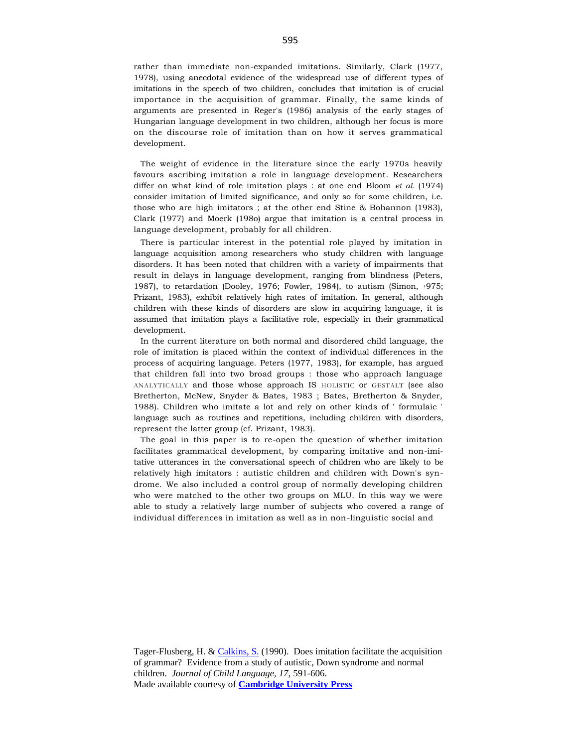rather than immediate non-expanded imitations. Similarly, Clark (1977, 1978), using anecdotal evidence of the widespread use of different types of imitations in the speech of two children, concludes that imitation is of crucial importance in the acquisition of grammar. Finally, the same kinds of arguments are presented in Reger's (1986) analysis of the early stages of Hungarian language development in two children, although her focus is more on the discourse role of imitation than on how it serves grammatical development.

The weight of evidence in the literature since the early 1970s heavily favours ascribing imitation a role in language development. Researchers differ on what kind of role imitation plays : at one end Bloom *et al.* (1974) consider imitation of limited significance, and only so for some children, i.e. those who are high imitators ; at the other end Stine & Bohannon (1983), Clark (1977) and Moerk (198o) argue that imitation is a central process in language development, probably for all children.

There is particular interest in the potential role played by imitation in language acquisition among researchers who study children with language disorders. It has been noted that children with a variety of impairments that result in delays in language development, ranging from blindness (Peters, 1987), to retardation (Dooley, 1976; Fowler, 1984), to autism (Simon, 1975; Prizant, 1983), exhibit relatively high rates of imitation. In general, although children with these kinds of disorders are slow in acquiring language, it is assumed that imitation plays a facilitative role, especially in their grammatical development.

In the current literature on both normal and disordered child language, the role of imitation is placed within the context of individual differences in the process of acquiring language. Peters (1977, 1983), for example, has argued that children fall into two broad groups : those who approach language ANALYTICALLY and those whose approach IS HOLISTIC or GESTALT (see also Bretherton, McNew, Snyder & Bates, 1983 ; Bates, Bretherton & Snyder, 1988). Children who imitate a lot and rely on other kinds of ' formulaic ' language such as routines and repetitions, including children with disorders, represent the latter group (cf. Prizant, 1983).

The goal in this paper is to re-open the question of whether imitation facilitates grammatical development, by comparing imitative and non-imitative utterances in the conversational speech of children who are likely to be relatively high imitators : autistic children and children with Down's syndrome. We also included a control group of normally developing children who were matched to the other two groups on MLU. In this way we were able to study a relatively large number of subjects who covered a range of individual differences in imitation as well as in non-linguistic social and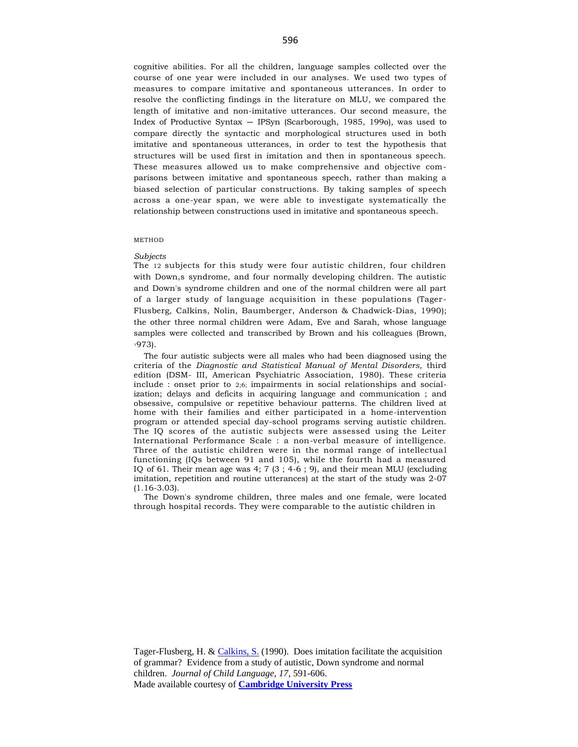cognitive abilities. For all the children, language samples collected over the course of one year were included in our analyses. We used two types of measures to compare imitative and spontaneous utterances. In order to resolve the conflicting findings in the literature on MLU, we compared the length of imitative and non-imitative utterances. Our second measure, the Index of Productive Syntax — IPSyn (Scarborough, 1985, 199o), was used to compare directly the syntactic and morphological structures used in both imitative and spontaneous utterances, in order to test the hypothesis that structures will be used first in imitation and then in spontaneous speech. These measures allowed us to make comprehensive and objective comparisons between imitative and spontaneous speech, rather than making a biased selection of particular constructions. By taking samples of speech across a one-year span, we were able to investigate systematically the relationship between constructions used in imitative and spontaneous speech.

### METHOD

#### *Subjects*

The 12 subjects for this study were four autistic children, four children with Down,s syndrome, and four normally developing children. The autistic and Down's syndrome children and one of the normal children were all part of a larger study of language acquisition in these populations (Tager - Flusberg, Calkins, Nolin, Baumberger, Anderson & Chadwick-Dias, 1990); the other three normal children were Adam, Eve and Sarah, whose language samples were collected and transcribed by Brown and his colleagues (Brown, <sup>1</sup>973).

The four autistic subjects were all males who had been diagnosed using the criteria of the *Diagnostic and Statistical Manual of Mental Disorders,* third edition (DSM- III, American Psychiatric Association, 1980). These criteria include : onset prior to 2;6; impairments in social relationships and socialization; delays and deficits in acquiring language and communication ; and obsessive, compulsive or repetitive behaviour patterns. The children lived at home with their families and either participated in a home-intervention program or attended special day-school programs serving autistic children. The IQ scores of the autistic subjects were assessed using the Leiter International Performance Scale : a non-verbal measure of intelligence. Three of the autistic children were in the normal range of intellectual functioning (IQs between 91 and 105), while the fourth had a measured IQ of 61. Their mean age was 4; 7 (3 ; 4-6 ; 9), and their mean MLU (excluding imitation, repetition and routine utterances) at the start of the study was 2-07 (1.16-3.03).

The Down's syndrome children, three males and one female, were located through hospital records. They were comparable to the autistic children in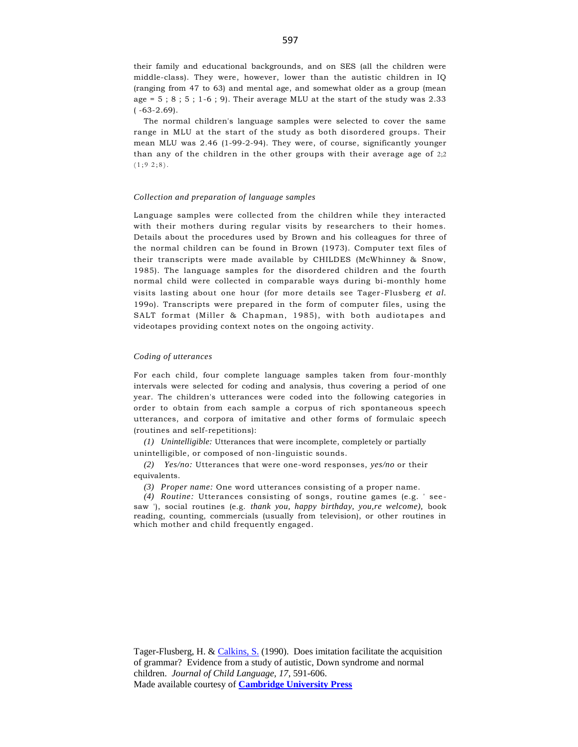their family and educational backgrounds, and on SES (all the children were middle-class). They were, however, lower than the autistic children in IQ (ranging from 47 to 63) and mental age, and somewhat older as a group (mean age =  $5$ ;  $8$ ;  $5$ ;  $1$ - $6$ ;  $9$ ). Their average MLU at the start of the study was 2.33 ( -63-2.69).

The normal children's language samples were selected to cover the same range in MLU at the start of the study as both disordered groups. Their mean MLU was 2.46 (1-99-2-94). They were, of course, significantly younger than any of the children in the other groups with their average age of 2;2  $(1; 9.2; 8).$ 

#### *Collection and preparation of language samples*

Language samples were collected from the children while they interacted with their mothers during regular visits by researchers to their homes. Details about the procedures used by Brown and his colleagues for three of the normal children can be found in Brown (1973). Computer text files of their transcripts were made available by CHILDES (McWhinney & Snow, 1985). The language samples for the disordered children and the fourth normal child were collected in comparable ways during bi -monthly home visits lasting about one hour (for more details see Tager -Flusberg *et al.*  199o). Transcripts were prepared in the form of computer files, using the SALT format (Miller & Chapman, 1985), with both audiotapes and videotapes providing context notes on the ongoing activity.

## *Coding of utterances*

For each child, four complete language samples taken from four-monthly intervals were selected for coding and analysis, thus covering a period of one year. The children's utterances were coded into the following categories in order to obtain from each sample a corpus of rich spontaneous speech utterances, and corpora of imitative and other forms of formulaic speech (routines and self-repetitions):

*(1) Unintelligible:* Utterances that were incomplete, completely or partially unintelligible, or composed of non-linguistic sounds.

*(2) Yes/no:* Utterances that were one-word responses, *yes/no* or their equivalents.

*(3) Proper name:* One word utterances consisting of a proper name.

*(4) Routine:* Utterances consisting of songs, routine games (e.g. ' see saw '), social routines (e.g. *thank you, happy birthday, you,re welcome),* book reading, counting, commercials (usually from television), or other routines in which mother and child frequently engaged.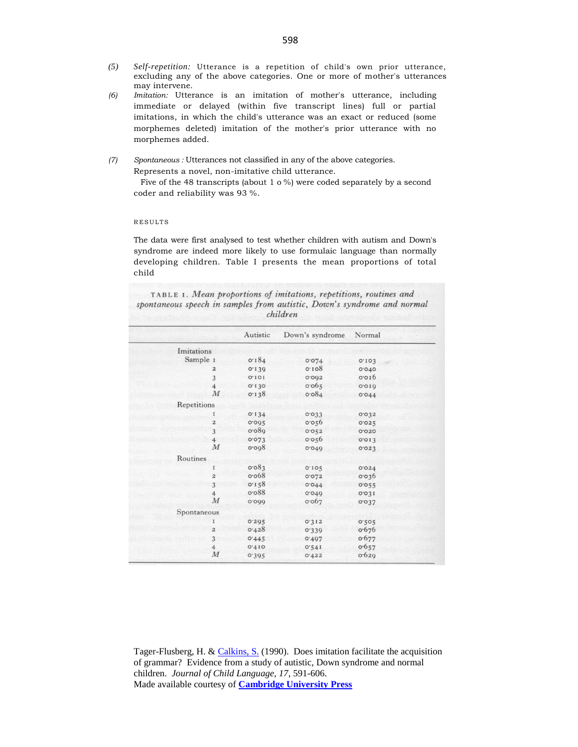- *(5) Self-repetition:* Utterance is a repetition of child's own prior utterance, excluding any of the above categories. One or more of mother's utterances may intervene.
- *(6) Imitation:* Utterance is an imitation of mother's utterance, including immediate or delayed (within five transcript lines) full or partial imitations, in which the child's utterance was an exact or reduced (some morphemes deleted) imitation of the mother's prior utterance with no morphemes added.
- *(7) Spontaneous :* Utterances not classified in any of the above categories. Represents a novel, non-imitative child utterance.

Five of the 48 transcripts (about 1 o %) were coded separately by a second coder and reliability was 93 %.

## **RESULTS**

The data were first analysed to test whether children with autism and Down's syndrome are indeed more likely to use formulaic language than normally developing children. Table I presents the mean proportions of total child

| TABLE I. Mean proportions of imitations, repetitions, routines and      |  |
|-------------------------------------------------------------------------|--|
| spontaneous speech in samples from autistic, Down's syndrome and normal |  |
| children                                                                |  |

|             |                         | Autistic | Down's syndrome | Normal |
|-------------|-------------------------|----------|-----------------|--------|
| Imitations  |                         |          |                 |        |
| Sample 1    |                         | 0.184    | 0.074           | 0.103  |
|             | $\overline{\mathbf{c}}$ | 0.139    | 0.108           | 0.010  |
|             | 3                       | 0.101    | 0.005           | 0.010  |
|             | $\overline{4}$          | 0.130    | 0.065           | 0.010  |
|             | M                       | 0.138    | 0.084           | 0.044  |
| Repetitions |                         |          |                 |        |
|             | 1                       | 0.134    | 0.033           | 0.032  |
|             | $\overline{\mathbf{c}}$ | 0.005    | 0.056           | 0.025  |
|             | $\overline{3}$          | 0.080    | 0.052           | 0.050  |
|             | $\overline{4}$          | 0.073    | 0.056           | 0.013  |
|             | $\cal M$                | 0.008    | 0.049           | 0.023  |
| Routines    |                         |          |                 |        |
|             | 1                       | 0.083    | 0.105           | 0.024  |
|             | $\overline{a}$          | 0.068    | 0.012           | 0.036  |
|             | 3                       | 0.158    | 0.044           | 0.055  |
|             | $\overline{4}$          | 0.088    | 0.040           | 0.031  |
|             | M                       | 0.000    | 0.067           | 0.037  |
| Spontaneous |                         |          |                 |        |
|             | 1                       | 0.295    | 0.312           | 0.505  |
|             | $\overline{\mathbf{c}}$ | 0.428    | 0.339           | 0.676  |
|             | 3                       | 0.445    | 0.497           | 0.677  |
|             | $\overline{4}$          | 0.410    | 0.541           | 0.657  |
|             | M                       | 0.395    | 0.422           | 0.629  |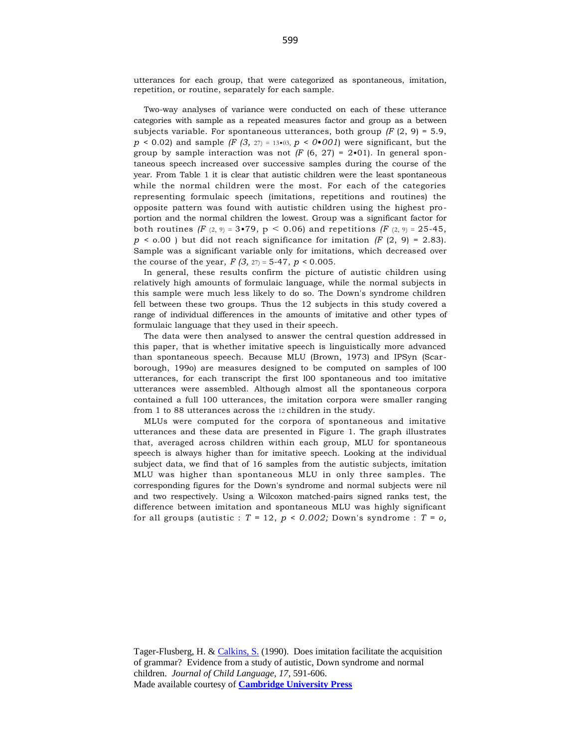utterances for each group, that were categorized as spontaneous, imitation, repetition, or routine, separately for each sample.

Two-way analyses of variance were conducted on each of these utterance categories with sample as a repeated measures factor and group as a between subjects variable. For spontaneous utterances, both group  $(F(2, 9) = 5.9)$ ,  $p < 0.02$  and sample *(F (3, 27)* = 13•03,  $p < 0$ •001) were significant, but the group by sample interaction was not  $(F (6, 27) = 2 \cdot 01)$ . In general spontaneous speech increased over successive samples during the course of the year. From Table 1 it is clear that autistic children were the least spontaneous while the normal children were the most. For each of the categories representing formulaic speech (imitations, repetitions and routines) the opposite pattern was found with autistic children using the highest proportion and the normal children the lowest. Group was a significant factor for both routines  $(F (2, 9) = 3 \cdot 79, p < 0.06)$  and repetitions  $(F (2, 9) = 25-45,$  $p \le 0.00$  ) but did not reach significance for imitation  $(F (2, 9) = 2.83)$ . Sample was a significant variable only for imitations, which decreased over the course of the year,  $F(3, 27) = 5-47$ ,  $p < 0.005$ .

In general, these results confirm the picture of autistic children using relatively high amounts of formulaic language, while the normal subjects in this sample were much less likely to do so. The Down's syndrome children fell between these two groups. Thus the 12 subjects in this study covered a range of individual differences in the amounts of imitative and other types of formulaic language that they used in their speech.

The data were then analysed to answer the central question addressed in this paper, that is whether imitative speech is linguistically more advanced than spontaneous speech. Because MLU (Brown, 1973) and IPSyn (Scarborough, 199o) are measures designed to be computed on samples of l00 utterances, for each transcript the first l00 spontaneous and too imitative utterances were assembled. Although almost all the spontaneous corpora contained a full 100 utterances, the imitation corpora were smaller ranging from 1 to 88 utterances across the 12 children in the study.

MLUs were computed for the corpora of spontaneous and imitative utterances and these data are presented in Figure 1. The graph illustrates that, averaged across children within each group, MLU for spontaneous speech is always higher than for imitative speech. Looking at the individual subject data, we find that of 16 samples from the autistic subjects, imitation MLU was higher than spontaneous MLU in only three samples. The corresponding figures for the Down's syndrome and normal subjects were nil and two respectively. Using a Wilcoxon matched-pairs signed ranks test, the difference between imitation and spontaneous MLU was highly significant for all groups (autistic :  $T = 12$ ,  $p < 0.002$ ; Down's syndrome :  $T = 0$ ,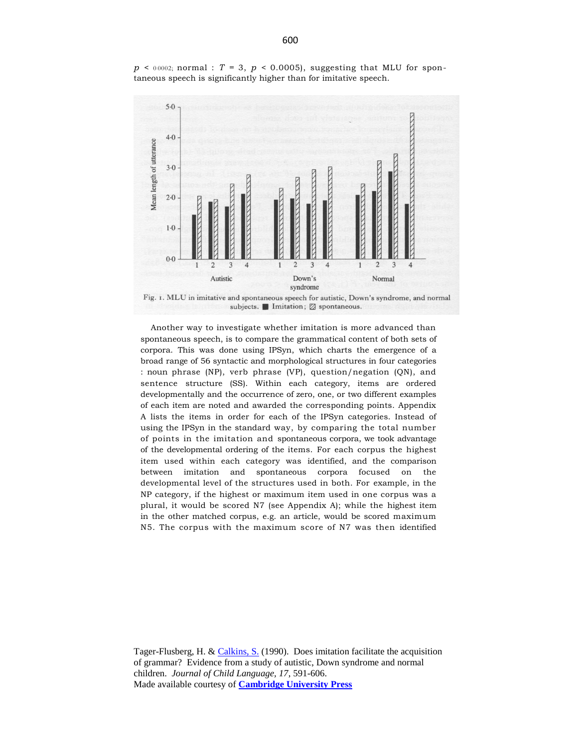

 $p \le 0.0002$ ; normal :  $T = 3$ ,  $p \le 0.0005$ ), suggesting that MLU for spontaneous speech is significantly higher than for imitative speech.

Fig. 1. MLU in imitative and spontaneous speech for autistic, Down's syndrome, and normal subjects. Initation; Z spontaneous.

Another way to investigate whether imitation is more advanced than spontaneous speech, is to compare the grammatical content of both sets of corpora. This was done using IPSyn, which charts the emergence of a broad range of 56 syntactic and morphological structures in four categories : noun phrase (NP), verb phrase (VP), question/negation (QN), and sentence structure (SS). Within each category, items are ordered developmentally and the occurrence of zero, one, or two different examples of each item are noted and awarded the corresponding points. Appendix A lists the items in order for each of the IPSyn categories. Instead of using the IPSyn in the standard way, by comparing the total number of points in the imitation and spontaneous corpora, we took advantage of the developmental ordering of the items. For each corpus the highest item used within each category was identified, and the comparison between imitation and spontaneous corpora focused on the developmental level of the structures used in both. For example, in the NP category, if the highest or maximum item used in one corpus was a plural, it would be scored N7 (see Appendix A); while the highest item in the other matched corpus, e.g. an article, would be scored maximum N5. The corpus with the maximum score of N7 was then identified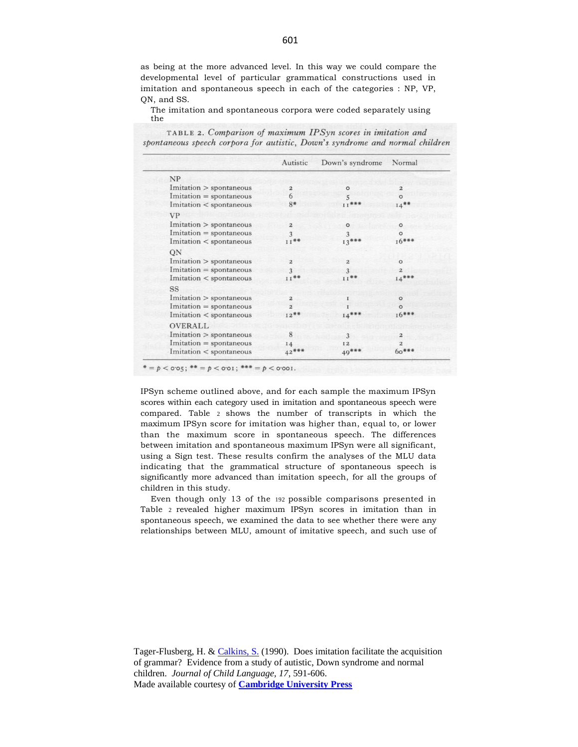as being at the more advanced level. In this way we could compare the developmental level of particular grammatical constructions used in imitation and spontaneous speech in each of the categories : NP, VP, QN, and SS.

The imitation and spontaneous corpora were coded separately using the

TABLE 2. Comparison of maximum IPSyn scores in imitation and spontaneous speech corpora for autistic, Down's syndrome and normal children

|                           | Autistic         | Down's syndrome | Normal         |
|---------------------------|------------------|-----------------|----------------|
| NP                        |                  |                 |                |
| Imitation > spontaneous   | $\boldsymbol{z}$ | $\circ$         | $\overline{2}$ |
| Imitation = spontaneous   | 6                | 5               | $\circ$        |
| Imitation < spontaneous   | $8*$             | <b>II***</b>    | $14***$        |
| <b>VP</b>                 |                  |                 |                |
| $Imitation$ > spontaneous | $\overline{2}$   | $\circ$         | $\circ$        |
| Imitation = spontaneous   | 3                | 3               | $\circ$        |
| Imitation < spontaneous   | $II$ **          | $13***$         | $16***$        |
| QN                        |                  |                 |                |
| Imitation > spontaneous   | $\overline{2}$   | $\overline{2}$  | $\circ$        |
| Imitation = spontaneous   | 3                | 3               | $\overline{2}$ |
| Imitation < spontaneous   | <b>II**</b>      | $II$ **         | $14***$        |
| SS                        |                  |                 |                |
| Imitation > spontaneous   | $\overline{2}$   |                 | $\circ$        |
| Imitation = spontaneous   | $\overline{2}$   |                 | $\circ$        |
| Imitation < spontaneous   | $12$ **          | $14***$         | $16***$        |
| OVERALL                   |                  |                 |                |
| Imitation > spontaneous   | 8                | 3               | $\overline{2}$ |
| Imitation = spontaneous   | 14               | 12              | $\overline{2}$ |
| Imitation < spontaneous   | $42***$          | 49***           | 60***          |

\* =  $p$  <  $0.05$ ; \*\* =  $p$  <  $0.01$ ; \*\*\* =  $p$  <  $0.001$ .

IPSyn scheme outlined above, and for each sample the maximum IPSyn scores within each category used in imitation and spontaneous speech were compared. Table 2 shows the number of transcripts in which the maximum IPSyn score for imitation was higher than, equal to, or lower than the maximum score in spontaneous speech. The differences between imitation and spontaneous maximum IPSyn were all significant, using a Sign test. These results confirm the analyses of the MLU data indicating that the grammatical structure of spontaneous speech is significantly more advanced than imitation speech, for all the groups of children in this study.

Even though only 13 of the 192 possible comparisons presented in Table 2 revealed higher maximum IPSyn scores in imitation than in spontaneous speech, we examined the data to see whether there were any relationships between MLU, amount of imitative speech, and such use of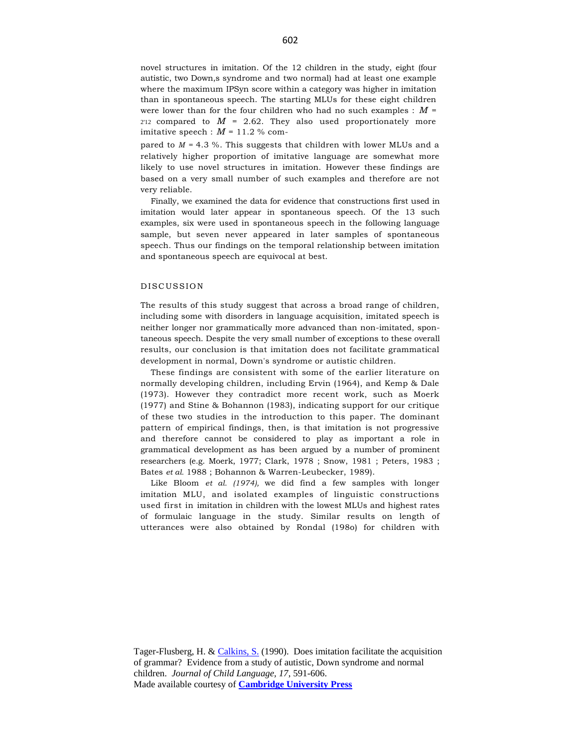novel structures in imitation. Of the 12 children in the study, eight (four autistic, two Down,s syndrome and two normal) had at least one example where the maximum IPSyn score within a category was higher in imitation than in spontaneous speech. The starting MLUs for these eight children were lower than for the four children who had no such examples :  $M =$  $2'12$  compared to  $M = 2.62$ . They also used proportionately more imitative speech :  $M = 11.2$  % com-

pared to  $M = 4.3$  %. This suggests that children with lower MLUs and a relatively higher proportion of imitative language are somewhat more likely to use novel structures in imitation. However these findings are based on a very small number of such examples and therefore are not very reliable.

Finally, we examined the data for evidence that constructions first used in imitation would later appear in spontaneous speech. Of the 13 such examples, six were used in spontaneous speech in the following language sample, but seven never appeared in later samples of spontaneous speech. Thus our findings on the temporal relationship between imitation and spontaneous speech are equivocal at best.

## DISCUSSION

The results of this study suggest that across a broad range of children, including some with disorders in language acquisition, imitated speech is neither longer nor grammatically more advanced than non-imitated, spontaneous speech. Despite the very small number of exceptions to these overall results, our conclusion is that imitation does not facilitate grammatical development in normal, Down's syndrome or autistic children.

These findings are consistent with some of the earlier literature on normally developing children, including Ervin (1964), and Kemp & Dale (1973). However they contradict more recent work, such as Moerk (1977) and Stine & Bohannon (1983), indicating support for our critique of these two studies in the introduction to this paper. The dominant pattern of empirical findings, then, is that imitation is not progressive and therefore cannot be considered to play as important a role in grammatical development as has been argued by a number of prominent researchers (e.g. Moerk, 1977; Clark, 1978 ; Snow, 1981 ; Peters, 1983 ; Bates *et al.* 1988 ; Bohannon & Warren-Leubecker, 1989).

Like Bloom *et al. (1974),* we did find a few samples with longer imitation MLU, and isolated examples of linguistic constructions used first in imitation in children with the lowest MLUs and highest rates of formulaic language in the study. Similar results on length of utterances were also obtained by Rondal (198o) for children with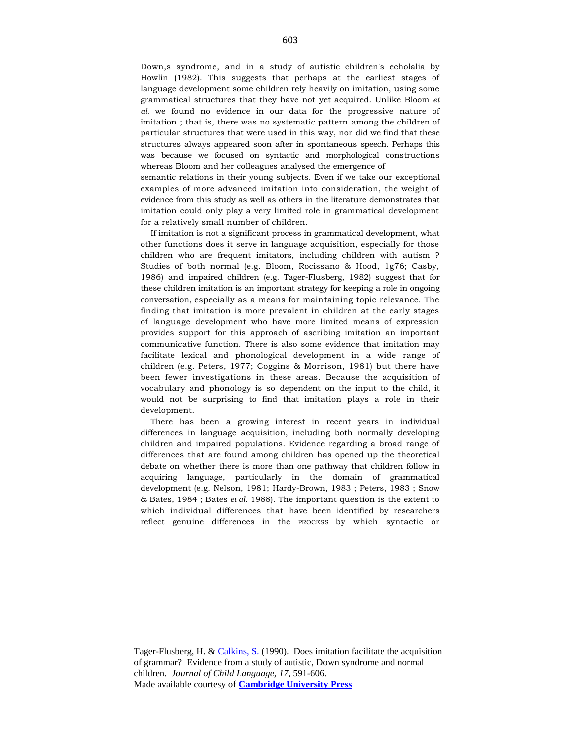Down,s syndrome, and in a study of autistic children's echolalia by Howlin (1982). This suggests that perhaps at the earliest stages of language development some children rely heavily on imitation, using some grammatical structures that they have not yet acquired. Unlike Bloom *et al.* we found no evidence in our data for the progressive nature of imitation ; that is, there was no systematic pattern among the children of particular structures that were used in this way, nor did we find that these structures always appeared soon after in spontaneous speech. Perhaps this was because we focused on syntactic and morphological constructions whereas Bloom and her colleagues analysed the emergence of

semantic relations in their young subjects. Even if we take our exceptional examples of more advanced imitation into consideration, the weight of evidence from this study as well as others in the literature demonstrates that imitation could only play a very limited role in grammatical development for a relatively small number of children.

If imitation is not a significant process in grammatical development, what other functions does it serve in language acquisition, especially for those children who are frequent imitators, including children with autism ? Studies of both normal (e.g. Bloom, Rocissano & Hood, 1g76; Casby, 1986) and impaired children (e.g. Tager-Flusberg, 1982) suggest that for these children imitation is an important strategy for keeping a role in ongoing conversation, especially as a means for maintaining topic relevance. The finding that imitation is more prevalent in children at the early stages of language development who have more limited means of expression provides support for this approach of ascribing imitation an important communicative function. There is also some evidence that imitation may facilitate lexical and phonological development in a wide range of children (e.g. Peters, 1977; Coggins & Morrison, 1981) but there have been fewer investigations in these areas. Because the acquisition of vocabulary and phonology is so dependent on the input to the child, it would not be surprising to find that imitation plays a role in their development.

There has been a growing interest in recent years in individual differences in language acquisition, including both normally developing children and impaired populations. Evidence regarding a broad range of differences that are found among children has opened up the theoretical debate on whether there is more than one pathway that children follow in acquiring language, particularly in the domain of grammatical development (e.g. Nelson, 1981; Hardy-Brown, 1983 ; Peters, 1983 ; Snow & Bates, 1984 ; Bates *et al.* 1988). The important question is the extent to which individual differences that have been identified by researchers reflect genuine differences in the PROCESS by which syntactic or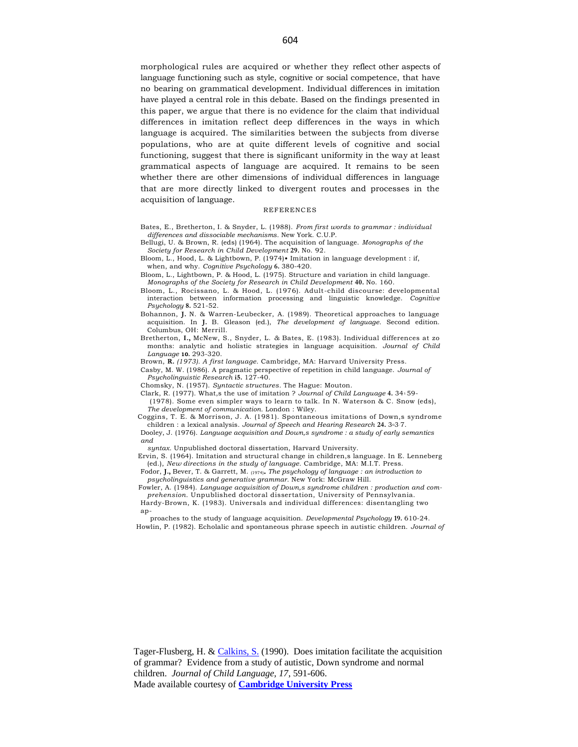morphological rules are acquired or whether they reflect other aspects of language functioning such as style, cognitive or social competence, that have no bearing on grammatical development. Individual differences in imitation have played a central role in this debate. Based on the findings presented in this paper, we argue that there is no evidence for the claim that individual differences in imitation reflect deep differences in the ways in which language is acquired. The similarities between the subjects from diverse populations, who are at quite different levels of cognitive and social functioning, suggest that there is significant uniformity in the way at least grammatical aspects of language are acquired. It remains to be seen whether there are other dimensions of individual differences in language that are more directly linked to divergent routes and processes in the acquisition of language.

#### REFERENCES

- Bates, E., Bretherton, I. & Snyder, L. (1988). *From first words to grammar : individual differences and dissociable mechanisms.* New York. C.U.P.
- Bellugi, U. & Brown, R. (eds) (1964). The acquisition of language. *Monographs of the Society for Research in Child Development* **29.** No. 92.
- Bloom, L., Hood, L. & Lightbown, P. (1974)• Imitation in language development : if, when, and why. *Cognitive Psychology* **6.** 380-420.
- Bloom, L., Lightbown, P. & Hood, L. (1975). Structure and variation in child language. *Monographs of the Society for Research in Child Development* **40.** No. 160.
- Bloom, L., Rocissano, L. & Hood, L. (1976). Adult -child discourse: developmental interaction between information processing and linguistic knowledge. *Cognitive Psychology* **8.** 521-52.
- Bohannon, **J.** N. & Warren-Leubecker, A. (1989). Theoretical approaches to language acquisition. In **J.** B. Gleason (ed.), *The development of language.* Second edition. Columbus, OH: Merrill.
- Bretherton, **I.,** McNew, S., Snyder, L. *&* Bates, E. (1983). Individual differences at zo months: analytic and holistic strategies in language acquisition. *Journal of Child Language* **10.** 293-320.
- Brown, **R.** *(1973). A first language.* Cambridge, MA: Harvard University Press.
- Casby, M. W. (1986). A pragmatic perspective of repetition in child language. *Journal of*
- *Psycholinguistic Research* **i5.** 127-40.
- Chomsky, N. (1957). *Syntactic structures.* The Hague: Mouton.
- Clark, R. (1977). What,s the use of imitation ? *Journal of Child Language* **4.** 34<sup>1</sup>-59- (1978). Some even simpler ways to learn to talk. In N. Waterson & C. Snow (eds),
- *The development of communication.* London : Wiley.
- Coggins, T. E. & Morrison, J. A. (1981). Spontaneous imitations of Down,s syndrome children : a lexical analysis. *Journal of Speech and Hearing Research* **24.** 303-7.
- Dooley, J. (1976). *Language acquisition and Down,s syndrome : a study of early semantics and*
- *syntax.* Unpublished doctoral dissertation, Harvard University.
- Ervin, S. (1964). Imitation and structural change in children,s language. In E. Lenneberg (ed.), *New directions in the study of language.* Cambridge, MA: M.I.T. Press.
- Fodor, **J.,** Bever, T. & Garrett, M. (1974)• *The psychology of language : an introduction to psycholinguistics and generative grammar.* New York: McGraw Hill.
- Fowler, A. (1984). *Language acquisition of Down,s syndrome children : production and comprehension.* Unpublished doctoral dissertation, University of Pennsylvania. Hardy-Brown, K. (1983). Universals and individual differences: disentangling two ap-
- proaches to the study of language acquisition. *Developmental Psychology* **19.** 610-24. Howlin, P. (1982). Echolalic and spontaneous phrase speech in autistic children. *Journal of*